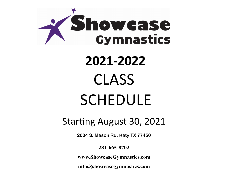

# **2021-2022** CLASS SCHEDULE

### Starting August 30, 2021

**2004 S. Mason Rd. Katy TX 77450**

281-665-8702

www.ShowcaseGymnastics.com

info@showcasegymnastics.com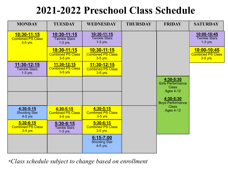## **2021-2022 Preschool Class Schedule**

| <b>MONDAY</b>                                          | <b>TUESDAY</b>                                              | <b>WEDNESDAY</b>                                      | <b>THURSDAY</b> | <b>FRIDAY</b>                                                             | <b>SATURDAY</b>                                     |
|--------------------------------------------------------|-------------------------------------------------------------|-------------------------------------------------------|-----------------|---------------------------------------------------------------------------|-----------------------------------------------------|
| 10:30-11:15<br><b>Combined PS Class</b><br>3-5 yrs.    | 10:30-11:15<br><b>Twinkle Stars</b><br>$1-3$ yrs.           | 10:30-11:15<br><b>Twinkle Stars</b><br>$1-3$ yrs.     |                 |                                                                           | 10:00-10:45<br><b>Twinkle Stars</b><br>$1-3$ yrs.   |
|                                                        | <u>10:30-11:15</u><br><b>Combined PS Class</b><br>$3-5$ yrs | 10:30-11:15<br><b>Combined PS Class</b><br>3-5 yrs.   |                 |                                                                           | 10:00-10:45<br><b>Combined PS Class</b><br>3-5 yrs. |
| 11:30-12:15<br><b>Twinkle Stars</b><br>$1-3$ yrs.      | 11:30-12:15<br><b>Combined PS Class</b><br>$3-5$ yrs        | 11:30-12:15<br><b>Combined PS Class</b><br>3-5 yrs.   |                 |                                                                           |                                                     |
|                                                        |                                                             |                                                       |                 | 4:30-5:30<br><b>Girls Performance</b><br><b>Class</b><br><b>Ages 4-12</b> |                                                     |
|                                                        |                                                             |                                                       |                 | 4:30-5:30<br><b>Boys Performance</b>                                      |                                                     |
| $4:30 - 5:15$<br><b>Shooting Star</b><br>$4-5$ yrs     | 4:30-5:15<br><b>Combined PS Class</b><br>$3-5$ yrs          | 4:30-5:15<br><b>Combined PS Class</b><br>$3-5$ yrs    |                 | <b>Class</b><br><b>Ages 4-12</b>                                          |                                                     |
| $5:30 - 6:15$<br><b>Combined PS Class</b><br>$3-5$ yrs | $5:30 - 6:15$<br><b>Twinkle Stars</b><br>$1-3$ yrs.         | $5:30 - 6:15$<br><b>Combined PS Class</b><br>3-5 yrs. |                 |                                                                           |                                                     |
|                                                        |                                                             | $6:15 - 7:00$<br><b>Shooting Star</b><br>4-5 yrs.     |                 |                                                                           |                                                     |

\**Class schedule subject to change based on enrollment*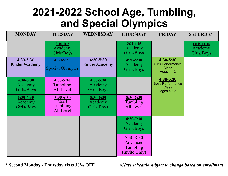## **2021-2022 School Age, Tumbling, and Special Olympics**

| <b>MONDAY</b>                          | <b>TUESDAY</b>                                    | <b>WEDNESDAY</b>                       | <b>THURSDAY</b>                                        | <b>FRIDAY</b>                                                             | <b>SATURDAY</b>                        |
|----------------------------------------|---------------------------------------------------|----------------------------------------|--------------------------------------------------------|---------------------------------------------------------------------------|----------------------------------------|
|                                        | $3:15-4:15$<br>Academy<br>Girls/Boys              |                                        | $3:15-4:15$<br>Academy<br>Girls/Boys                   |                                                                           | $10:45-11:45$<br>Academy<br>Girls/Boys |
| 4:30-5:30<br><b>Kinder Academy</b>     | $4:30 - 5:30$<br>Special Olympics                 | 4:30-5:30<br><b>Kinder Academy</b>     | $4:30 - 5:30$<br>Academy<br>Girls/Boys                 | 4:30-5:30<br><b>Girls Performance</b><br><b>Class</b><br><b>Ages 4-12</b> |                                        |
| $4:30 - 5:30$<br>Academy<br>Girls/Boys | $4:30 - 5:30$<br>Tumbling<br>All Level            | $4:30 - 5:30$<br>Academy<br>Girls/Boys |                                                        | 4:30-5:30<br><b>Boys Performance</b><br><b>Class</b><br><b>Ages 4-12</b>  |                                        |
| 5:30-6:30<br>Academy<br>Girls/Boys     | 5:30-6:30<br><b>TEEN</b><br>Tumbling<br>All Level | $5:30-6:30$<br>Academy<br>Girls/Boys   | 5:30-6:30<br>Tumbling<br>All Level                     |                                                                           |                                        |
|                                        |                                                   |                                        | $6:30-7:30$<br>Academy<br>Girls/Boys                   |                                                                           |                                        |
|                                        |                                                   |                                        | $7:30 - 8:30$<br>Advanced<br>Tumbling<br>(Invite Only) |                                                                           |                                        |

**\* Second Monday - Thursday class 30% OFF \****Class schedule subject to change based on enrollment*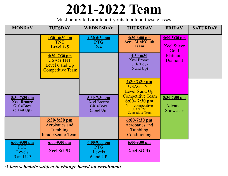## **2021-2022 Team**

Must be invited or attend tryouts to attend these classes

| <b>MONDAY</b>                                                                      | <b>TUESDAY</b>                                                                   | <b>WEDNESDAY</b>                                                            | <b>THURSDAY</b>                                                                                              | <b>FRIDAY</b>                                | <b>SATURDAY</b> |
|------------------------------------------------------------------------------------|----------------------------------------------------------------------------------|-----------------------------------------------------------------------------|--------------------------------------------------------------------------------------------------------------|----------------------------------------------|-----------------|
|                                                                                    | $4:30 - 6:30$ pm<br><b>TNT</b><br><b>Level 1-5</b>                               | $4:30-6:30$ pm<br><b>PTG</b><br>$2 - 4$                                     | $4:30-6:00$ pm<br><b>Acro Mini/Youth</b><br><b>Team</b>                                                      | $4:00-5:30$ pm<br><b>Xcel Silver</b><br>Gold |                 |
|                                                                                    | $4:30 - 7:30$ pm<br><b>USAG TNT</b><br>Level 6 and Up<br><b>Competitive Team</b> |                                                                             | 4:30-6:30<br><b>Xcel Bronze</b><br>Girls/Boys<br>$(5 \text{ and } Up)$                                       | Platinum<br>Diamond                          |                 |
|                                                                                    |                                                                                  |                                                                             | $4:30-7:30$ pm<br><b>USAG TNT</b><br>Level 6 and Up                                                          |                                              |                 |
| $5:30-7:30$ pm<br><b>Xcel Bronze</b><br><b>Girls/Boys</b><br>$(5 \text{ and } Up)$ |                                                                                  | $5:30-7:30$ pm<br><b>Xcel Bronze</b><br>Girls/Boys<br>$(5 \text{ and } Up)$ | <b>Competitive Team</b><br>$6:00 - 7:30$ pm<br>Non-competitive<br><b>USAG TNT</b><br><b>Competitive Team</b> | $5:30-7:00$ pm<br>Advance<br>Showcase        |                 |
|                                                                                    | $6:30-8:30$ pm<br><b>Acrobatics and</b><br>Tumbling<br><b>Junior/Senior Team</b> |                                                                             | $6:00-7:30$ pm<br><b>Acrobatics and</b><br>Tumbling<br>Conditioning                                          |                                              |                 |
| $6:00-9:00$ pm<br><b>PTG</b><br>Levels<br>5 and UP                                 | $6:00-9:00$ pm<br><b>Xcel SGPD</b>                                               | $6:00-9:00$ pm<br><b>PTG</b><br>Levels<br>6 and UP                          | $6:00-9:00$ pm<br><b>Xcel SGPD</b>                                                                           |                                              |                 |

**\****Class schedule subject to change based on enrollment*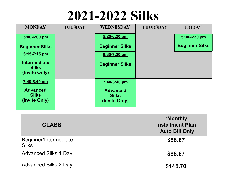## **2021-2022 Silks**

| <b>MONDAY</b>                                        | <b>TUESDAY</b> | <b>WEDNESDAY</b>                                 | <b>THURSDAY</b> | <b>FRIDAY</b>         |
|------------------------------------------------------|----------------|--------------------------------------------------|-----------------|-----------------------|
| 5:00-6:00 pm                                         |                | 5:20-6:20 pm                                     |                 | 5:30-6:30 pm          |
| <b>Beginner Silks</b>                                |                | <b>Beginner Silks</b>                            |                 | <b>Beginner Silks</b> |
| $6:15-7:15$ pm                                       |                | 6:30-7:30 pm                                     |                 |                       |
| <b>Intermediate</b><br><b>Silks</b><br>(Invite Only) |                | <b>Beginner Silks</b>                            |                 |                       |
| 7:40-8:40 pm                                         |                | 7:40-8:40 pm                                     |                 |                       |
| <b>Advanced</b><br><b>Silks</b><br>(Invite Only)     |                | <b>Advanced</b><br><b>Silks</b><br>(Invite Only) |                 |                       |

| <b>CLASS</b>                          | <b>*Monthly</b><br><b>Installment Plan</b><br><b>Auto Bill Only</b> |
|---------------------------------------|---------------------------------------------------------------------|
| Beginner/Intermediate<br><b>Silks</b> | \$88.67                                                             |
| <b>Advanced Silks 1 Day</b>           | \$88.67                                                             |
| <b>Advanced Silks 2 Day</b>           | \$145.70                                                            |